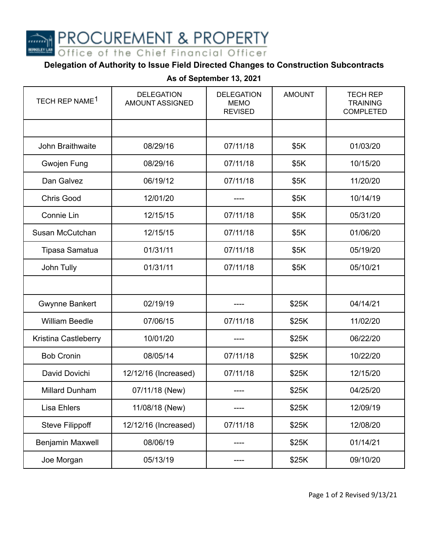**PROCUREMENT & PROPERTY** 

Office of the Chief Financial Officer

## **Delegation of Authority to Issue Field Directed Changes to Construction Subcontracts**

| TECH REP NAME <sup>1</sup> | <b>DELEGATION</b><br><b>AMOUNT ASSIGNED</b> | <b>DELEGATION</b><br><b>MEMO</b><br><b>REVISED</b> | <b>AMOUNT</b> | <b>TECH REP</b><br><b>TRAINING</b><br><b>COMPLETED</b> |
|----------------------------|---------------------------------------------|----------------------------------------------------|---------------|--------------------------------------------------------|
|                            |                                             |                                                    |               |                                                        |
| John Braithwaite           | 08/29/16                                    | 07/11/18                                           | \$5K          | 01/03/20                                               |
| Gwojen Fung                | 08/29/16                                    | 07/11/18                                           | \$5K          | 10/15/20                                               |
| Dan Galvez                 | 06/19/12                                    | 07/11/18                                           | \$5K          | 11/20/20                                               |
| <b>Chris Good</b>          | 12/01/20                                    |                                                    | \$5K          | 10/14/19                                               |
| Connie Lin                 | 12/15/15                                    | 07/11/18                                           | \$5K          | 05/31/20                                               |
| Susan McCutchan            | 12/15/15                                    | 07/11/18                                           | \$5K          | 01/06/20                                               |
| Tipasa Samatua             | 01/31/11                                    | 07/11/18                                           | \$5K          | 05/19/20                                               |
| John Tully                 | 01/31/11                                    | 07/11/18                                           | \$5K          | 05/10/21                                               |
|                            |                                             |                                                    |               |                                                        |
| <b>Gwynne Bankert</b>      | 02/19/19                                    |                                                    | \$25K         | 04/14/21                                               |
| <b>William Beedle</b>      | 07/06/15                                    | 07/11/18                                           | \$25K         | 11/02/20                                               |
| Kristina Castleberry       | 10/01/20                                    |                                                    | \$25K         | 06/22/20                                               |
| <b>Bob Cronin</b>          | 08/05/14                                    | 07/11/18                                           | \$25K         | 10/22/20                                               |
| David Dovichi              | 12/12/16 (Increased)                        | 07/11/18                                           | \$25K         | 12/15/20                                               |
| <b>Millard Dunham</b>      | 07/11/18 (New)                              |                                                    | \$25K         | 04/25/20                                               |
| <b>Lisa Ehlers</b>         | 11/08/18 (New)                              |                                                    | \$25K         | 12/09/19                                               |
| <b>Steve Filippoff</b>     | 12/12/16 (Increased)                        | 07/11/18                                           | \$25K         | 12/08/20                                               |
| Benjamin Maxwell           | 08/06/19                                    |                                                    | \$25K         | 01/14/21                                               |
| Joe Morgan                 | 05/13/19                                    |                                                    | \$25K         | 09/10/20                                               |

## **As of September 13, 2021**

Page 1 of 2 Revised 9/13/21